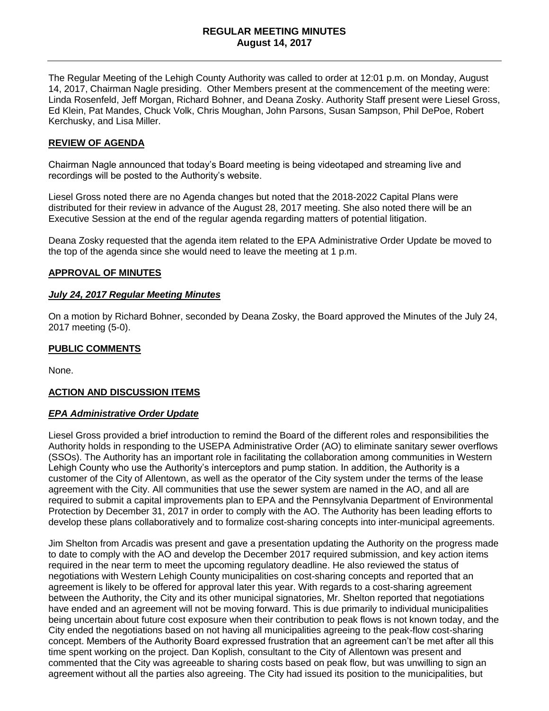The Regular Meeting of the Lehigh County Authority was called to order at 12:01 p.m. on Monday, August 14, 2017, Chairman Nagle presiding. Other Members present at the commencement of the meeting were: Linda Rosenfeld, Jeff Morgan, Richard Bohner, and Deana Zosky. Authority Staff present were Liesel Gross, Ed Klein, Pat Mandes, Chuck Volk, Chris Moughan, John Parsons, Susan Sampson, Phil DePoe, Robert Kerchusky, and Lisa Miller.

### **REVIEW OF AGENDA**

Chairman Nagle announced that today's Board meeting is being videotaped and streaming live and recordings will be posted to the Authority's website.

Liesel Gross noted there are no Agenda changes but noted that the 2018-2022 Capital Plans were distributed for their review in advance of the August 28, 2017 meeting. She also noted there will be an Executive Session at the end of the regular agenda regarding matters of potential litigation.

Deana Zosky requested that the agenda item related to the EPA Administrative Order Update be moved to the top of the agenda since she would need to leave the meeting at 1 p.m.

#### **APPROVAL OF MINUTES**

#### *July 24, 2017 Regular Meeting Minutes*

On a motion by Richard Bohner, seconded by Deana Zosky, the Board approved the Minutes of the July 24, 2017 meeting (5-0).

### **PUBLIC COMMENTS**

None.

### **ACTION AND DISCUSSION ITEMS**

#### *EPA Administrative Order Update*

Liesel Gross provided a brief introduction to remind the Board of the different roles and responsibilities the Authority holds in responding to the USEPA Administrative Order (AO) to eliminate sanitary sewer overflows (SSOs). The Authority has an important role in facilitating the collaboration among communities in Western Lehigh County who use the Authority's interceptors and pump station. In addition, the Authority is a customer of the City of Allentown, as well as the operator of the City system under the terms of the lease agreement with the City. All communities that use the sewer system are named in the AO, and all are required to submit a capital improvements plan to EPA and the Pennsylvania Department of Environmental Protection by December 31, 2017 in order to comply with the AO. The Authority has been leading efforts to develop these plans collaboratively and to formalize cost-sharing concepts into inter-municipal agreements.

Jim Shelton from Arcadis was present and gave a presentation updating the Authority on the progress made to date to comply with the AO and develop the December 2017 required submission, and key action items required in the near term to meet the upcoming regulatory deadline. He also reviewed the status of negotiations with Western Lehigh County municipalities on cost-sharing concepts and reported that an agreement is likely to be offered for approval later this year. With regards to a cost-sharing agreement between the Authority, the City and its other municipal signatories, Mr. Shelton reported that negotiations have ended and an agreement will not be moving forward. This is due primarily to individual municipalities being uncertain about future cost exposure when their contribution to peak flows is not known today, and the City ended the negotiations based on not having all municipalities agreeing to the peak-flow cost-sharing concept. Members of the Authority Board expressed frustration that an agreement can't be met after all this time spent working on the project. Dan Koplish, consultant to the City of Allentown was present and commented that the City was agreeable to sharing costs based on peak flow, but was unwilling to sign an agreement without all the parties also agreeing. The City had issued its position to the municipalities, but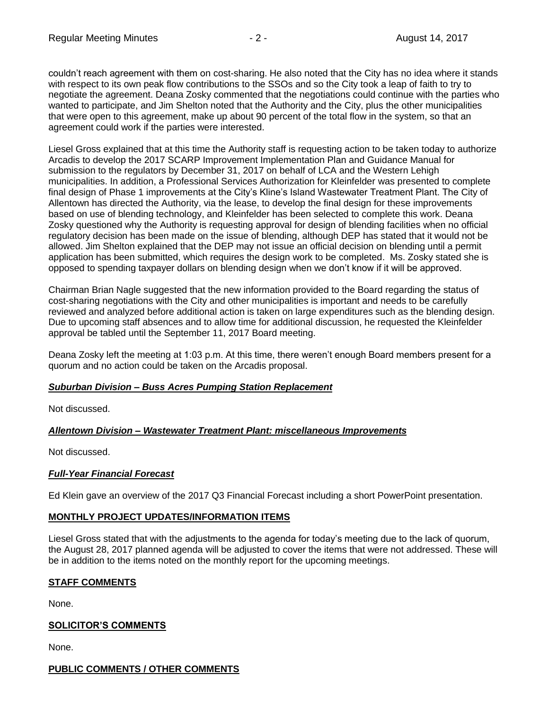couldn't reach agreement with them on cost-sharing. He also noted that the City has no idea where it stands with respect to its own peak flow contributions to the SSOs and so the City took a leap of faith to try to negotiate the agreement. Deana Zosky commented that the negotiations could continue with the parties who wanted to participate, and Jim Shelton noted that the Authority and the City, plus the other municipalities that were open to this agreement, make up about 90 percent of the total flow in the system, so that an agreement could work if the parties were interested.

Liesel Gross explained that at this time the Authority staff is requesting action to be taken today to authorize Arcadis to develop the 2017 SCARP Improvement Implementation Plan and Guidance Manual for submission to the regulators by December 31, 2017 on behalf of LCA and the Western Lehigh municipalities. In addition, a Professional Services Authorization for Kleinfelder was presented to complete final design of Phase 1 improvements at the City's Kline's Island Wastewater Treatment Plant. The City of Allentown has directed the Authority, via the lease, to develop the final design for these improvements based on use of blending technology, and Kleinfelder has been selected to complete this work. Deana Zosky questioned why the Authority is requesting approval for design of blending facilities when no official regulatory decision has been made on the issue of blending, although DEP has stated that it would not be allowed. Jim Shelton explained that the DEP may not issue an official decision on blending until a permit application has been submitted, which requires the design work to be completed. Ms. Zosky stated she is opposed to spending taxpayer dollars on blending design when we don't know if it will be approved.

Chairman Brian Nagle suggested that the new information provided to the Board regarding the status of cost-sharing negotiations with the City and other municipalities is important and needs to be carefully reviewed and analyzed before additional action is taken on large expenditures such as the blending design. Due to upcoming staff absences and to allow time for additional discussion, he requested the Kleinfelder approval be tabled until the September 11, 2017 Board meeting.

Deana Zosky left the meeting at 1:03 p.m. At this time, there weren't enough Board members present for a quorum and no action could be taken on the Arcadis proposal.

# *Suburban Division – Buss Acres Pumping Station Replacement*

Not discussed.

# *Allentown Division – Wastewater Treatment Plant: miscellaneous Improvements*

Not discussed.

### *Full-Year Financial Forecast*

Ed Klein gave an overview of the 2017 Q3 Financial Forecast including a short PowerPoint presentation.

### **MONTHLY PROJECT UPDATES/INFORMATION ITEMS**

Liesel Gross stated that with the adjustments to the agenda for today's meeting due to the lack of quorum, the August 28, 2017 planned agenda will be adjusted to cover the items that were not addressed. These will be in addition to the items noted on the monthly report for the upcoming meetings.

# **STAFF COMMENTS**

None.

# **SOLICITOR'S COMMENTS**

None.

# **PUBLIC COMMENTS / OTHER COMMENTS**